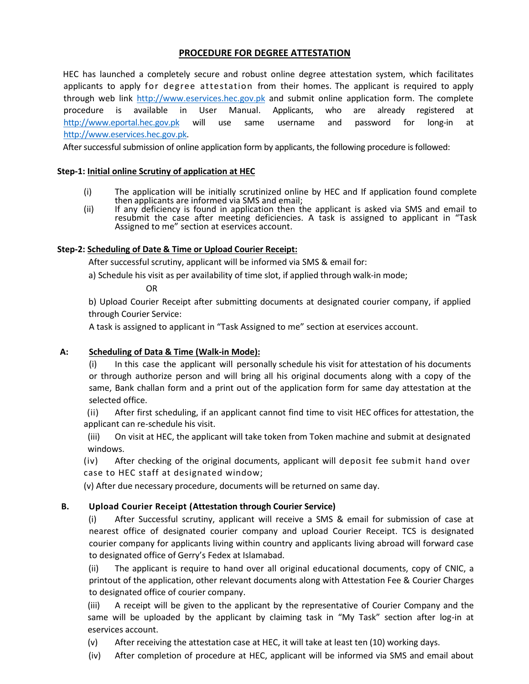# **PROCEDURE FOR DEGREE ATTESTATION**

HEC has launched a completely secure and robust online degree attestation system, which facilitates applicants to apply for degree attestation from their homes. The applicant is required to apply through web link http://www.eservices.hec.gov.pk and submit online application form. The complete procedure is available in User Manual. Applicants, who are already registered at [http://www.eportal.hec.gov.pk](http://www.eportal.hec.gov.pk/) will use same username and password for long-in at [http://www.eservices.hec.gov.pk.](http://www.eservices.hec.gov.pk/)

After successful submission of online application form by applicants, the following procedure is followed:

## **Step-1: Initial online Scrutiny of application at HEC**

- (i) The application will be initially scrutinized online by HEC and If application found complete then applicants are informed via SMS and email;
- (ii) If any deficiency is found in application then the applicant is asked via SMS and email to resubmit the case after meeting deficiencies. A task is assigned to applicant in "Task Assigned to me" section at eservices account.

#### **Step-2: Scheduling of Date & Time or Upload Courier Receipt:**

After successful scrutiny, applicant will be informed via SMS & email for:

a) Schedule his visit as per availability of time slot, if applied through walk-in mode;

OR

b) Upload Courier Receipt after submitting documents at designated courier company, if applied through Courier Service:

A task is assigned to applicant in "Task Assigned to me" section at eservices account.

## **A: Scheduling of Data & Time (Walk-in Mode):**

(i) In this case the applicant will personally schedule his visit for attestation of his documents or through authorize person and will bring all his original documents along with a copy of the same, Bank challan form and a print out of the application form for same day attestation at the selected office.

(ii) After first scheduling, if an applicant cannot find time to visit HEC offices for attestation, the applicant can re-schedule his visit.

(iii) On visit at HEC, the applicant will take token from Token machine and submit at designated windows.

(iv) After checking of the original documents, applicant will deposit fee submit hand over case to HEC staff at designated window;

(v) After due necessary procedure, documents will be returned on same day.

## **B. Upload Courier Receipt (Attestation through Courier Service)**

(i) After Successful scrutiny, applicant will receive a SMS & email for submission of case at nearest office of designated courier company and upload Courier Receipt. TCS is designated courier company for applicants living within country and applicants living abroad will forward case to designated office of Gerry's Fedex at Islamabad.

(ii) The applicant is require to hand over all original educational documents, copy of CNIC, a printout of the application, other relevant documents along with Attestation Fee & Courier Charges to designated office of courier company.

(iii) A receipt will be given to the applicant by the representative of Courier Company and the same will be uploaded by the applicant by claiming task in "My Task" section after log-in at eservices account.

(v) After receiving the attestation case at HEC, it will take at least ten (10) working days.

(iv) After completion of procedure at HEC, applicant will be informed via SMS and email about